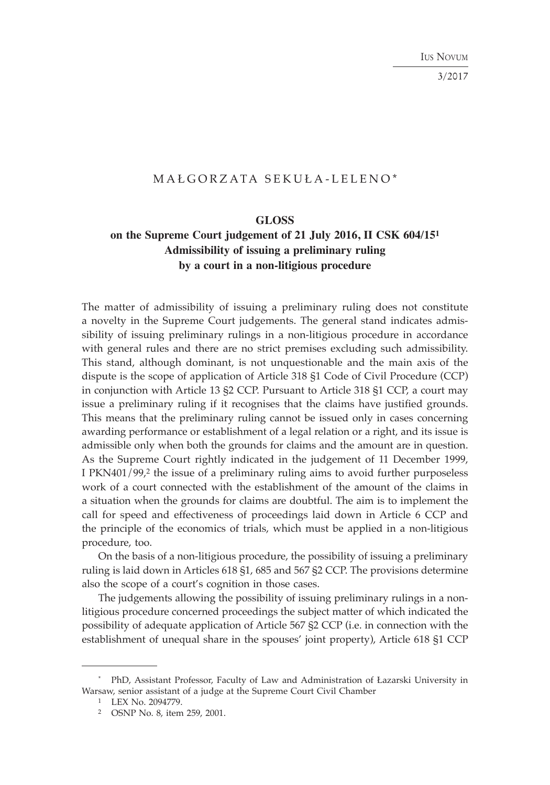IUS NOVUM

3/2017

# MAŁGORZATA SEKUŁA-LELENO\*

### **GLOSS**

## **on the Supreme Court judgement of 21 July 2016, II CSK 604/151 Admissibility of issuing a preliminary ruling by a court in a non-litigious procedure**

The matter of admissibility of issuing a preliminary ruling does not constitute a novelty in the Supreme Court judgements. The general stand indicates admissibility of issuing preliminary rulings in a non-litigious procedure in accordance with general rules and there are no strict premises excluding such admissibility. This stand, although dominant, is not unquestionable and the main axis of the dispute is the scope of application of Article 318 §1 Code of Civil Procedure (CCP) in conjunction with Article 13 §2 CCP. Pursuant to Article 318 §1 CCP, a court may issue a preliminary ruling if it recognises that the claims have justified grounds. This means that the preliminary ruling cannot be issued only in cases concerning awarding performance or establishment of a legal relation or a right, and its issue is admissible only when both the grounds for claims and the amount are in question. As the Supreme Court rightly indicated in the judgement of 11 December 1999, I PKN401/99,2 the issue of a preliminary ruling aims to avoid further purposeless work of a court connected with the establishment of the amount of the claims in a situation when the grounds for claims are doubtful. The aim is to implement the call for speed and effectiveness of proceedings laid down in Article 6 CCP and the principle of the economics of trials, which must be applied in a non-litigious procedure, too.

On the basis of a non-litigious procedure, the possibility of issuing a preliminary ruling is laid down in Articles 618 §1, 685 and 567 §2 CCP. The provisions determine also the scope of a court's cognition in those cases.

The judgements allowing the possibility of issuing preliminary rulings in a nonlitigious procedure concerned proceedings the subject matter of which indicated the possibility of adequate application of Article 567 §2 CCP (i.e. in connection with the establishment of unequal share in the spouses' joint property), Article 618 §1 CCP

<sup>\*</sup> PhD, Assistant Professor, Faculty of Law and Administration of Łazarski University in Warsaw, senior assistant of a judge at the Supreme Court Civil Chamber

<sup>1</sup> LEX No. 2094779.

<sup>2</sup> OSNP No. 8, item 259, 2001.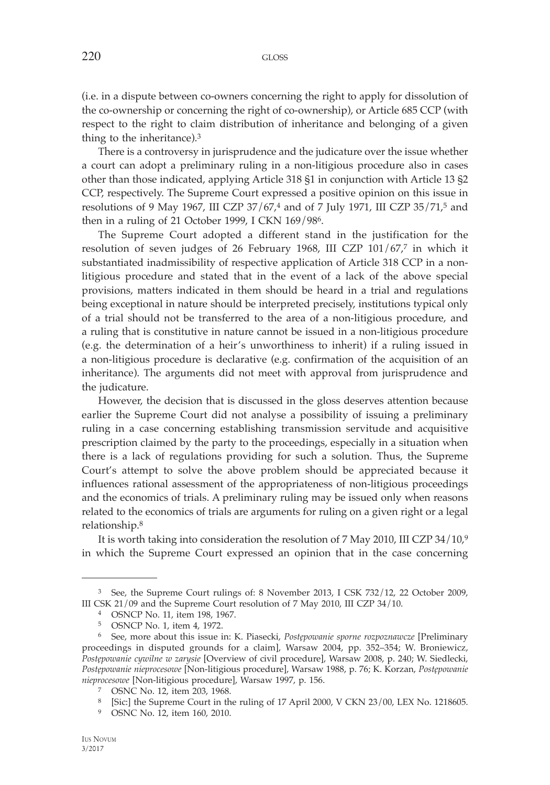(i.e. in a dispute between co-owners concerning the right to apply for dissolution of the co-ownership or concerning the right of co-ownership), or Article 685 CCP (with respect to the right to claim distribution of inheritance and belonging of a given thing to the inheritance).3

There is a controversy in jurisprudence and the judicature over the issue whether a court can adopt a preliminary ruling in a non-litigious procedure also in cases other than those indicated, applying Article 318 §1 in conjunction with Article 13 §2 CCP, respectively. The Supreme Court expressed a positive opinion on this issue in resolutions of 9 May 1967, III CZP 37/67,4 and of 7 July 1971, III CZP 35/71,5 and then in a ruling of 21 October 1999, I CKN 169/986.

The Supreme Court adopted a different stand in the justification for the resolution of seven judges of 26 February 1968, III CZP 101/67,7 in which it substantiated inadmissibility of respective application of Article 318 CCP in a nonlitigious procedure and stated that in the event of a lack of the above special provisions, matters indicated in them should be heard in a trial and regulations being exceptional in nature should be interpreted precisely, institutions typical only of a trial should not be transferred to the area of a non-litigious procedure, and a ruling that is constitutive in nature cannot be issued in a non-litigious procedure (e.g. the determination of a heir's unworthiness to inherit) if a ruling issued in a non-litigious procedure is declarative (e.g. confirmation of the acquisition of an inheritance). The arguments did not meet with approval from jurisprudence and the judicature.

However, the decision that is discussed in the gloss deserves attention because earlier the Supreme Court did not analyse a possibility of issuing a preliminary ruling in a case concerning establishing transmission servitude and acquisitive prescription claimed by the party to the proceedings, especially in a situation when there is a lack of regulations providing for such a solution. Thus, the Supreme Court's attempt to solve the above problem should be appreciated because it influences rational assessment of the appropriateness of non-litigious proceedings and the economics of trials. A preliminary ruling may be issued only when reasons related to the economics of trials are arguments for ruling on a given right or a legal relationship.8

It is worth taking into consideration the resolution of 7 May 2010, III CZP 34/10,9 in which the Supreme Court expressed an opinion that in the case concerning

<sup>3</sup> See, the Supreme Court rulings of: 8 November 2013, I CSK 732/12, 22 October 2009, III CSK 21/09 and the Supreme Court resolution of 7 May 2010, III CZP 34/10.

<sup>4</sup> OSNCP No. 11, item 198, 1967.

<sup>5</sup> OSNCP No. 1, item 4, 1972.

<sup>6</sup> See, more about this issue in: K. Piasecki, *Postępowanie sporne rozpoznawcze* [Preliminary proceedings in disputed grounds for a claim], Warsaw 2004, pp. 352–354; W. Broniewicz, *Postępowanie cywilne w zarysie* [Overview of civil procedure], Warsaw 2008, p. 240; W. Siedlecki, *Postępowanie nieprocesowe* [Non-litigious procedure], Warsaw 1988, p. 76; K. Korzan, *Postępowanie nieprocesowe* [Non-litigious procedure], Warsaw 1997, p. 156.

<sup>7</sup> OSNC No. 12, item 203, 1968.

<sup>8 [</sup>Sic:] the Supreme Court in the ruling of 17 April 2000, V CKN 23/00, LEX No. 1218605.

<sup>9</sup> OSNC No. 12, item 160, 2010.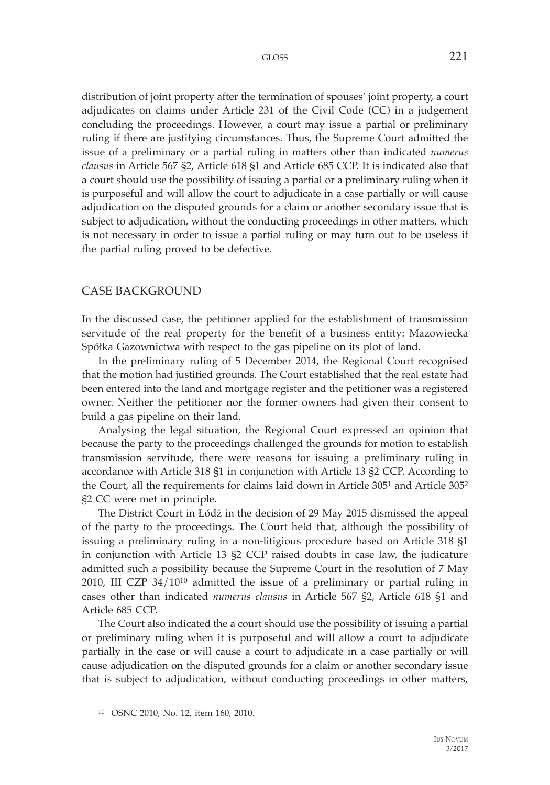distribution of joint property after the termination of spouses' joint property, a court adjudicates on claims under Article 231 of the Civil Code (CC) in a judgement concluding the proceedings. However, a court may issue a partial or preliminary ruling if there are justifying circumstances. Thus, the Supreme Court admitted the issue of a preliminary or a partial ruling in matters other than indicated *numerus clausus* in Article 567 §2, Article 618 §1 and Article 685 CCP. It is indicated also that a court should use the possibility of issuing a partial or a preliminary ruling when it is purposeful and will allow the court to adjudicate in a case partially or will cause adjudication on the disputed grounds for a claim or another secondary issue that is subject to adjudication, without the conducting proceedings in other matters, which is not necessary in order to issue a partial ruling or may turn out to be useless if the partial ruling proved to be defective.

### CASE BACKGROUND

In the discussed case, the petitioner applied for the establishment of transmission servitude of the real property for the benefit of a business entity: Mazowiecka Spółka Gazownictwa with respect to the gas pipeline on its plot of land.

In the preliminary ruling of 5 December 2014, the Regional Court recognised that the motion had justified grounds. The Court established that the real estate had been entered into the land and mortgage register and the petitioner was a registered owner. Neither the petitioner nor the former owners had given their consent to build a gas pipeline on their land.

Analysing the legal situation, the Regional Court expressed an opinion that because the party to the proceedings challenged the grounds for motion to establish transmission servitude, there were reasons for issuing a preliminary ruling in accordance with Article 318 §1 in conjunction with Article 13 §2 CCP. According to the Court, all the requirements for claims laid down in Article 3051 and Article 3052 §2 CC were met in principle.

The District Court in Łódź in the decision of 29 May 2015 dismissed the appeal of the party to the proceedings. The Court held that, although the possibility of issuing a preliminary ruling in a non-litigious procedure based on Article 318 §1 in conjunction with Article 13 §2 CCP raised doubts in case law, the judicature admitted such a possibility because the Supreme Court in the resolution of 7 May 2010, III CZP 34/1010 admitted the issue of a preliminary or partial ruling in cases other than indicated *numerus clausus* in Article 567 §2, Article 618 §1 and Article 685 CCP.

The Court also indicated the a court should use the possibility of issuing a partial or preliminary ruling when it is purposeful and will allow a court to adjudicate partially in the case or will cause a court to adjudicate in a case partially or will cause adjudication on the disputed grounds for a claim or another secondary issue that is subject to adjudication, without conducting proceedings in other matters,

<sup>10</sup> OSNC 2010, No. 12, item 160, 2010.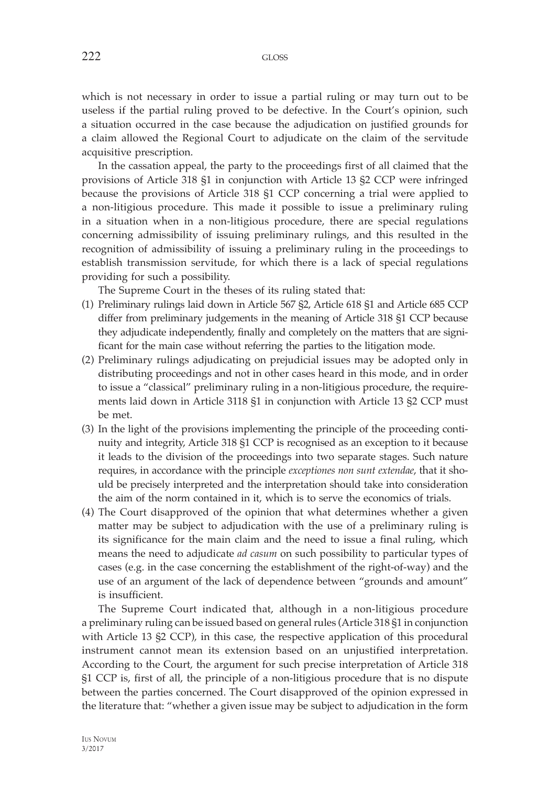which is not necessary in order to issue a partial ruling or may turn out to be useless if the partial ruling proved to be defective. In the Court's opinion, such a situation occurred in the case because the adjudication on justified grounds for a claim allowed the Regional Court to adjudicate on the claim of the servitude acquisitive prescription.

In the cassation appeal, the party to the proceedings first of all claimed that the provisions of Article 318 §1 in conjunction with Article 13 §2 CCP were infringed because the provisions of Article 318 §1 CCP concerning a trial were applied to a non-litigious procedure. This made it possible to issue a preliminary ruling in a situation when in a non-litigious procedure, there are special regulations concerning admissibility of issuing preliminary rulings, and this resulted in the recognition of admissibility of issuing a preliminary ruling in the proceedings to establish transmission servitude, for which there is a lack of special regulations providing for such a possibility.

The Supreme Court in the theses of its ruling stated that:

- (1) Preliminary rulings laid down in Article 567 §2, Article 618 §1 and Article 685 CCP differ from preliminary judgements in the meaning of Article 318 §1 CCP because they adjudicate independently, finally and completely on the matters that are significant for the main case without referring the parties to the litigation mode.
- (2) Preliminary rulings adjudicating on prejudicial issues may be adopted only in distributing proceedings and not in other cases heard in this mode, and in order to issue a "classical" preliminary ruling in a non-litigious procedure, the requirements laid down in Article 3118 §1 in conjunction with Article 13 §2 CCP must be met.
- (3) In the light of the provisions implementing the principle of the proceeding continuity and integrity, Article 318 §1 CCP is recognised as an exception to it because it leads to the division of the proceedings into two separate stages. Such nature requires, in accordance with the principle *exceptiones non sunt extendae*, that it should be precisely interpreted and the interpretation should take into consideration the aim of the norm contained in it, which is to serve the economics of trials.
- (4) The Court disapproved of the opinion that what determines whether a given matter may be subject to adjudication with the use of a preliminary ruling is its significance for the main claim and the need to issue a final ruling, which means the need to adjudicate *ad casum* on such possibility to particular types of cases (e.g. in the case concerning the establishment of the right-of-way) and the use of an argument of the lack of dependence between "grounds and amount" is insufficient.

The Supreme Court indicated that, although in a non-litigious procedure a preliminary ruling can be issued based on general rules (Article 318 §1 in conjunction with Article 13 §2 CCP), in this case, the respective application of this procedural instrument cannot mean its extension based on an unjustified interpretation. According to the Court, the argument for such precise interpretation of Article 318 §1 CCP is, first of all, the principle of a non-litigious procedure that is no dispute between the parties concerned. The Court disapproved of the opinion expressed in the literature that: "whether a given issue may be subject to adjudication in the form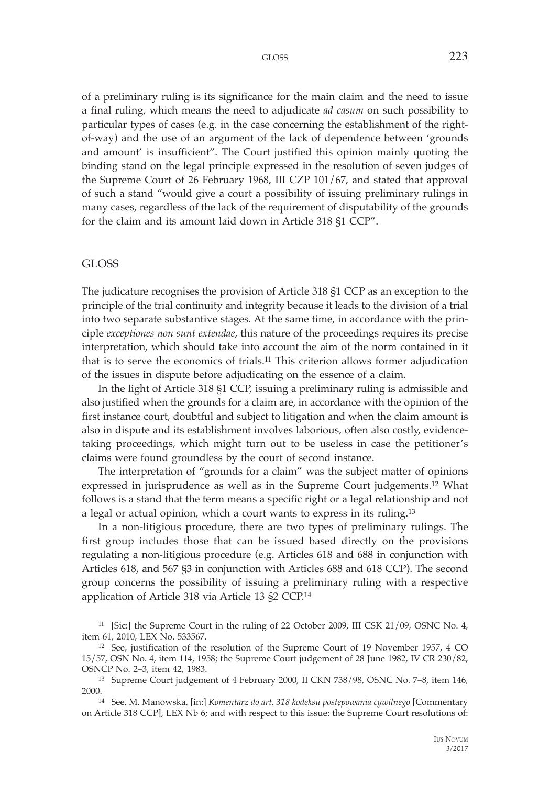of a preliminary ruling is its significance for the main claim and the need to issue a final ruling, which means the need to adjudicate *ad casum* on such possibility to particular types of cases (e.g. in the case concerning the establishment of the rightof-way) and the use of an argument of the lack of dependence between 'grounds and amount' is insufficient". The Court justified this opinion mainly quoting the binding stand on the legal principle expressed in the resolution of seven judges of the Supreme Court of 26 February 1968, III CZP 101/67, and stated that approval of such a stand "would give a court a possibility of issuing preliminary rulings in many cases, regardless of the lack of the requirement of disputability of the grounds for the claim and its amount laid down in Article 318 §1 CCP".

#### GLOSS

The judicature recognises the provision of Article 318 §1 CCP as an exception to the principle of the trial continuity and integrity because it leads to the division of a trial into two separate substantive stages. At the same time, in accordance with the principle *exceptiones non sunt extendae*, this nature of the proceedings requires its precise interpretation, which should take into account the aim of the norm contained in it that is to serve the economics of trials.11 This criterion allows former adjudication of the issues in dispute before adjudicating on the essence of a claim.

In the light of Article 318 §1 CCP, issuing a preliminary ruling is admissible and also justified when the grounds for a claim are, in accordance with the opinion of the first instance court, doubtful and subject to litigation and when the claim amount is also in dispute and its establishment involves laborious, often also costly, evidencetaking proceedings, which might turn out to be useless in case the petitioner's claims were found groundless by the court of second instance.

The interpretation of "grounds for a claim" was the subject matter of opinions expressed in jurisprudence as well as in the Supreme Court judgements.12 What follows is a stand that the term means a specific right or a legal relationship and not a legal or actual opinion, which a court wants to express in its ruling.13

In a non-litigious procedure, there are two types of preliminary rulings. The first group includes those that can be issued based directly on the provisions regulating a non-litigious procedure (e.g. Articles 618 and 688 in conjunction with Articles 618, and 567 §3 in conjunction with Articles 688 and 618 CCP). The second group concerns the possibility of issuing a preliminary ruling with a respective application of Article 318 via Article 13 §2 CCP.14

<sup>11 [</sup>Sic:] the Supreme Court in the ruling of 22 October 2009, III CSK 21/09, OSNC No. 4, item 61, 2010, LEX No. 533567.

<sup>12</sup> See, justification of the resolution of the Supreme Court of 19 November 1957, 4 CO 15/57, OSN No. 4, item 114, 1958; the Supreme Court judgement of 28 June 1982, IV CR 230/82, OSNCP No. 2–3, item 42, 1983.

<sup>13</sup> Supreme Court judgement of 4 February 2000, II CKN 738/98, OSNC No. 7–8, item 146, 2000.14 See, M. Manowska, [in:] *Komentarz do art. 318 kodeksu postępowania cywilnego* [Commentary

on Article 318 CCP], LEX Nb 6; and with respect to this issue: the Supreme Court resolutions of: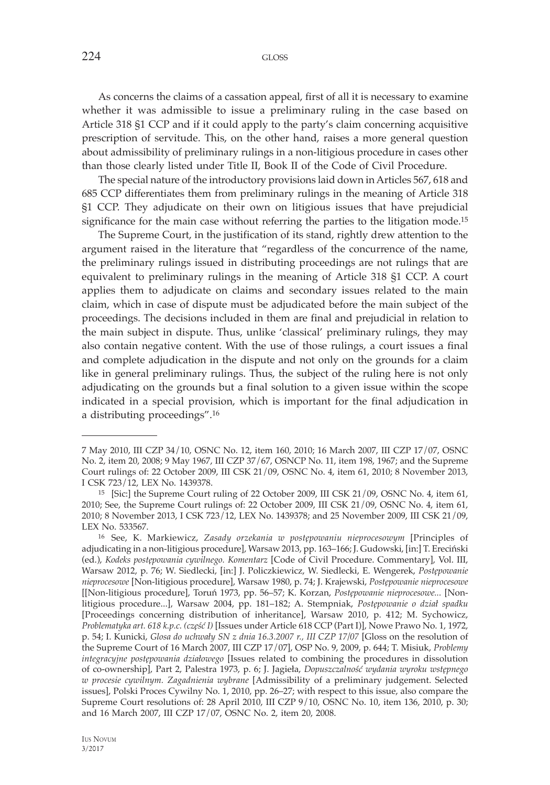As concerns the claims of a cassation appeal, first of all it is necessary to examine whether it was admissible to issue a preliminary ruling in the case based on Article 318 §1 CCP and if it could apply to the party's claim concerning acquisitive prescription of servitude. This, on the other hand, raises a more general question about admissibility of preliminary rulings in a non-litigious procedure in cases other than those clearly listed under Title II, Book II of the Code of Civil Procedure.

The special nature of the introductory provisions laid down in Articles 567, 618 and 685 CCP differentiates them from preliminary rulings in the meaning of Article 318 §1 CCP. They adjudicate on their own on litigious issues that have prejudicial significance for the main case without referring the parties to the litigation mode.<sup>15</sup>

The Supreme Court, in the justification of its stand, rightly drew attention to the argument raised in the literature that "regardless of the concurrence of the name, the preliminary rulings issued in distributing proceedings are not rulings that are equivalent to preliminary rulings in the meaning of Article 318 §1 CCP. A court applies them to adjudicate on claims and secondary issues related to the main claim, which in case of dispute must be adjudicated before the main subject of the proceedings. The decisions included in them are final and prejudicial in relation to the main subject in dispute. Thus, unlike 'classical' preliminary rulings, they may also contain negative content. With the use of those rulings, a court issues a final and complete adjudication in the dispute and not only on the grounds for a claim like in general preliminary rulings. Thus, the subject of the ruling here is not only adjudicating on the grounds but a final solution to a given issue within the scope indicated in a special provision, which is important for the final adjudication in a distributing proceedings".16

<sup>7</sup> May 2010, III CZP 34/10, OSNC No. 12, item 160, 2010; 16 March 2007, III CZP 17/07, OSNC No. 2, item 20, 2008; 9 May 1967, III CZP 37/67, OSNCP No. 11, item 198, 1967; and the Supreme Court rulings of: 22 October 2009, III CSK 21/09, OSNC No. 4, item 61, 2010; 8 November 2013, I CSK 723/12, LEX No. 1439378.

<sup>15 [</sup>Sic:] the Supreme Court ruling of 22 October 2009, III CSK 21/09, OSNC No. 4, item 61, 2010; See, the Supreme Court rulings of: 22 October 2009, III CSK 21/09, OSNC No. 4, item 61, 2010; 8 November 2013, I CSK 723/12, LEX No. 1439378; and 25 November 2009, III CSK 21/09, LEX No. 533567.

<sup>16</sup> See, K. Markiewicz, *Zasady orzekania w postępowaniu nieprocesowym* [Principles of adjudicating in a non-litigious procedure], Warsaw 2013, pp. 163–166; J. Gudowski, [in:] T. Ereciński (ed.), *Kodeks postępowania cywilnego. Komentarz* [Code of Civil Procedure. Commentary], Vol. III, Warsaw 2012, p. 76; W. Siedlecki, [in:] J. Policzkiewicz, W. Siedlecki, E. Wengerek, *Postępowanie nieprocesowe* [Non-litigious procedure], Warsaw 1980, p. 74; J. Krajewski, *Postępowanie nieprocesowe*  [[Non-litigious procedure], Toruń 1973, pp. 56–57; K. Korzan, *Postępowanie nieprocesowe...* [Nonlitigious procedure...], Warsaw 2004, pp. 181–182; A. Stempniak, *Postępowanie o dział spadku*  [Proceedings concerning distribution of inheritance], Warsaw 2010, p. 412; M. Sychowicz, *Problematyka art. 618 k.p.c. (część I)* [Issues under Article 618 CCP (Part I)], Nowe Prawo No. 1, 1972, p. 54; I. Kunicki, *Glosa do uchwały SN z dnia 16.3.2007 r., III CZP 17/07* [Gloss on the resolution of the Supreme Court of 16 March 2007, III CZP 17/07], OSP No. 9, 2009, p. 644; T. Misiuk, *Problemy integracyjne postępowania działowego* [Issues related to combining the procedures in dissolution of co-ownership], Part 2, Palestra 1973, p. 6; J. Jagieła, *Dopuszczalność wydania wyroku wstępnego w procesie cywilnym. Zagadnienia wybrane* [Admissibility of a preliminary judgement. Selected issues], Polski Proces Cywilny No. 1, 2010, pp. 26–27; with respect to this issue, also compare the Supreme Court resolutions of: 28 April 2010, III CZP 9/10, OSNC No. 10, item 136, 2010, p. 30; and 16 March 2007, III CZP 17/07, OSNC No. 2, item 20, 2008.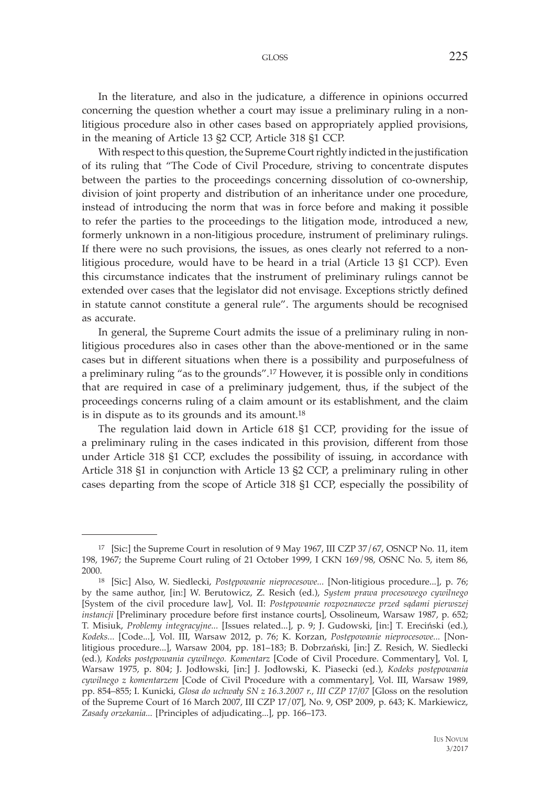GLOSS 225

In the literature, and also in the judicature, a difference in opinions occurred concerning the question whether a court may issue a preliminary ruling in a nonlitigious procedure also in other cases based on appropriately applied provisions, in the meaning of Article 13 §2 CCP, Article 318 §1 CCP.

With respect to this question, the Supreme Court rightly indicted in the justification of its ruling that "The Code of Civil Procedure, striving to concentrate disputes between the parties to the proceedings concerning dissolution of co-ownership, division of joint property and distribution of an inheritance under one procedure, instead of introducing the norm that was in force before and making it possible to refer the parties to the proceedings to the litigation mode, introduced a new, formerly unknown in a non-litigious procedure, instrument of preliminary rulings. If there were no such provisions, the issues, as ones clearly not referred to a nonlitigious procedure, would have to be heard in a trial (Article 13 §1 CCP). Even this circumstance indicates that the instrument of preliminary rulings cannot be extended over cases that the legislator did not envisage. Exceptions strictly defined in statute cannot constitute a general rule". The arguments should be recognised as accurate.

In general, the Supreme Court admits the issue of a preliminary ruling in nonlitigious procedures also in cases other than the above-mentioned or in the same cases but in different situations when there is a possibility and purposefulness of a preliminary ruling "as to the grounds".17 However, it is possible only in conditions that are required in case of a preliminary judgement, thus, if the subject of the proceedings concerns ruling of a claim amount or its establishment, and the claim is in dispute as to its grounds and its amount.18

The regulation laid down in Article 618 §1 CCP, providing for the issue of a preliminary ruling in the cases indicated in this provision, different from those under Article 318 §1 CCP, excludes the possibility of issuing, in accordance with Article 318 §1 in conjunction with Article 13 §2 CCP, a preliminary ruling in other cases departing from the scope of Article 318 §1 CCP, especially the possibility of

<sup>17 [</sup>Sic:] the Supreme Court in resolution of 9 May 1967, III CZP 37/67, OSNCP No. 11, item 198, 1967; the Supreme Court ruling of 21 October 1999, I CKN 169/98, OSNC No. 5, item 86, 2000.18 [Sic:] Also, W. Siedlecki, *Postępowanie nieprocesowe...* [Non-litigious procedure...], p. 76;

by the same author, [in:] W. Berutowicz, Z. Resich (ed.), *System prawa procesowego cywilnego*  [System of the civil procedure law], Vol. II: *Postępowanie rozpoznawcze przed sądami pierwszej instancji* [Preliminary procedure before first instance courts], Ossolineum, Warsaw 1987, p. 652; T. Misiuk, *Problemy integracyjne...* [Issues related...], p. 9; J. Gudowski, [in:] T. Ereciński (ed.), *Kodeks...* [Code...], Vol. III, Warsaw 2012, p. 76; K. Korzan, *Postępowanie nieprocesowe...* [Nonlitigious procedure...], Warsaw 2004, pp. 181–183; B. Dobrzański, [in:] Z. Resich, W. Siedlecki (ed.), *Kodeks postępowania cywilnego. Komentarz* [Code of Civil Procedure. Commentary], Vol. I, Warsaw 1975, p. 804; J. Jodłowski, [in:] J. Jodłowski, K. Piasecki (ed.), *Kodeks postępowania cywilnego z komentarzem* [Code of Civil Procedure with a commentary], Vol. III, Warsaw 1989, pp. 854–855; I. Kunicki, *Glosa do uchwały SN z 16.3.2007 r., III CZP 17/07* [Gloss on the resolution of the Supreme Court of 16 March 2007, III CZP 17/07], No. 9, OSP 2009, p. 643; K. Markiewicz, *Zasady orzekania...* [Principles of adjudicating...], pp. 166–173.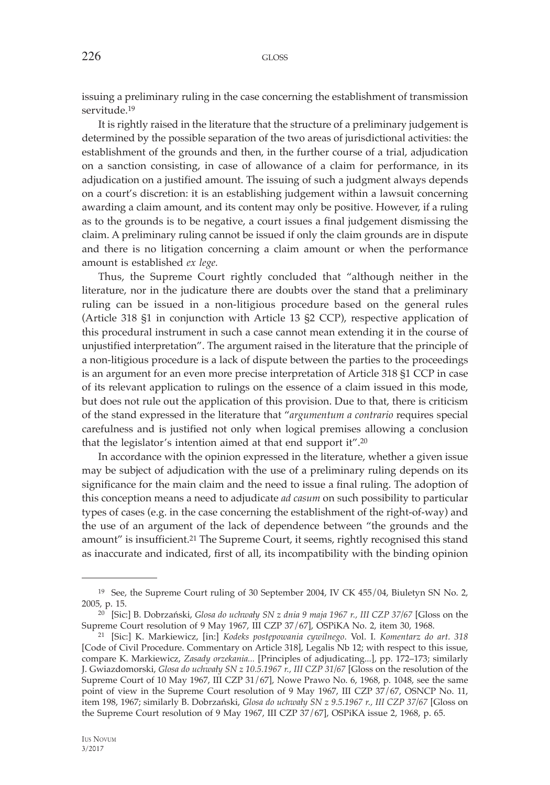issuing a preliminary ruling in the case concerning the establishment of transmission servitude<sup>19</sup>

It is rightly raised in the literature that the structure of a preliminary judgement is determined by the possible separation of the two areas of jurisdictional activities: the establishment of the grounds and then, in the further course of a trial, adjudication on a sanction consisting, in case of allowance of a claim for performance, in its adjudication on a justified amount. The issuing of such a judgment always depends on a court's discretion: it is an establishing judgement within a lawsuit concerning awarding a claim amount, and its content may only be positive. However, if a ruling as to the grounds is to be negative, a court issues a final judgement dismissing the claim. A preliminary ruling cannot be issued if only the claim grounds are in dispute and there is no litigation concerning a claim amount or when the performance amount is established *ex lege.*

Thus, the Supreme Court rightly concluded that "although neither in the literature, nor in the judicature there are doubts over the stand that a preliminary ruling can be issued in a non-litigious procedure based on the general rules (Article 318 §1 in conjunction with Article 13 §2 CCP), respective application of this procedural instrument in such a case cannot mean extending it in the course of unjustified interpretation". The argument raised in the literature that the principle of a non-litigious procedure is a lack of dispute between the parties to the proceedings is an argument for an even more precise interpretation of Article 318 §1 CCP in case of its relevant application to rulings on the essence of a claim issued in this mode, but does not rule out the application of this provision. Due to that, there is criticism of the stand expressed in the literature that "*argumentum a contrario* requires special carefulness and is justified not only when logical premises allowing a conclusion that the legislator's intention aimed at that end support it".20

In accordance with the opinion expressed in the literature, whether a given issue may be subject of adjudication with the use of a preliminary ruling depends on its significance for the main claim and the need to issue a final ruling. The adoption of this conception means a need to adjudicate *ad casum* on such possibility to particular types of cases (e.g. in the case concerning the establishment of the right-of-way) and the use of an argument of the lack of dependence between "the grounds and the amount" is insufficient.<sup>21</sup> The Supreme Court, it seems, rightly recognised this stand as inaccurate and indicated, first of all, its incompatibility with the binding opinion

<sup>19</sup> See, the Supreme Court ruling of 30 September 2004, IV CK 455/04, Biuletyn SN No. 2, 2005, p. 15.

<sup>&</sup>lt;sup>20</sup> [Sic:] B. Dobrzański, *Glosa do uchwały SN z dnia 9 maja 1967 r., III CZP 37/67* [Gloss on the Supreme Court resolution of 9 May 1967, III CZP 37/67], OSPiKA No. 2, item 30, 1968.

Supreme Court resolution of 9 May 1967, III CZP 37/67], OSPiKA No. 2, item 30, 1968. 21 [Sic:] K. Markiewicz, [in:] *Kodeks postępowania cywilnego*. Vol. I. *Komentarz do art. 318*  [Code of Civil Procedure. Commentary on Article 318], Legalis Nb 12; with respect to this issue, compare K. Markiewicz, *Zasady orzekania...* [Principles of adjudicating...], pp. 172–173; similarly J. Gwiazdomorski, *Glosa do uchwały SN z 10.5.1967 r., III CZP 31/67* [Gloss on the resolution of the Supreme Court of 10 May 1967, III CZP 31/67], Nowe Prawo No. 6, 1968, p. 1048, see the same point of view in the Supreme Court resolution of 9 May 1967, III CZP 37/67, OSNCP No. 11, item 198, 1967; similarly B. Dobrzański, *Glosa do uchwały SN z 9.5.1967 r., III CZP 37/67* [Gloss on the Supreme Court resolution of 9 May 1967, III CZP 37/67], OSPiKA issue 2, 1968, p. 65.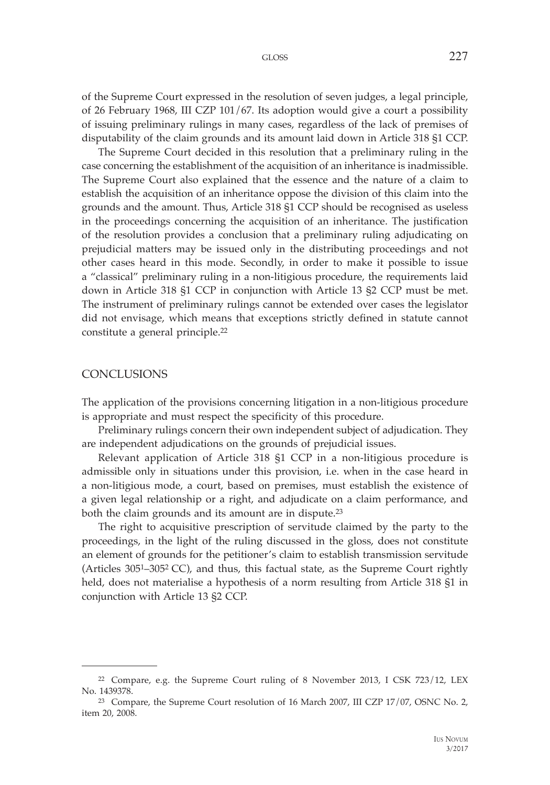of the Supreme Court expressed in the resolution of seven judges, a legal principle, of 26 February 1968, III CZP 101/67. Its adoption would give a court a possibility of issuing preliminary rulings in many cases, regardless of the lack of premises of disputability of the claim grounds and its amount laid down in Article 318 §1 CCP.

The Supreme Court decided in this resolution that a preliminary ruling in the case concerning the establishment of the acquisition of an inheritance is inadmissible. The Supreme Court also explained that the essence and the nature of a claim to establish the acquisition of an inheritance oppose the division of this claim into the grounds and the amount. Thus, Article 318 §1 CCP should be recognised as useless in the proceedings concerning the acquisition of an inheritance. The justification of the resolution provides a conclusion that a preliminary ruling adjudicating on prejudicial matters may be issued only in the distributing proceedings and not other cases heard in this mode. Secondly, in order to make it possible to issue a "classical" preliminary ruling in a non-litigious procedure, the requirements laid down in Article 318 §1 CCP in conjunction with Article 13 §2 CCP must be met. The instrument of preliminary rulings cannot be extended over cases the legislator did not envisage, which means that exceptions strictly defined in statute cannot constitute a general principle.22

### **CONCLUSIONS**

The application of the provisions concerning litigation in a non-litigious procedure is appropriate and must respect the specificity of this procedure.

Preliminary rulings concern their own independent subject of adjudication. They are independent adjudications on the grounds of prejudicial issues.

Relevant application of Article 318 §1 CCP in a non-litigious procedure is admissible only in situations under this provision, i.e. when in the case heard in a non-litigious mode, a court, based on premises, must establish the existence of a given legal relationship or a right, and adjudicate on a claim performance, and both the claim grounds and its amount are in dispute.23

The right to acquisitive prescription of servitude claimed by the party to the proceedings, in the light of the ruling discussed in the gloss, does not constitute an element of grounds for the petitioner's claim to establish transmission servitude (Articles 3051–3052 CC), and thus, this factual state, as the Supreme Court rightly held, does not materialise a hypothesis of a norm resulting from Article 318 §1 in conjunction with Article 13 §2 CCP.

<sup>22</sup> Compare, e.g. the Supreme Court ruling of 8 November 2013, I CSK 723/12, LEX No. 1439378.

<sup>23</sup> Compare, the Supreme Court resolution of 16 March 2007, III CZP 17/07, OSNC No. 2, item 20, 2008.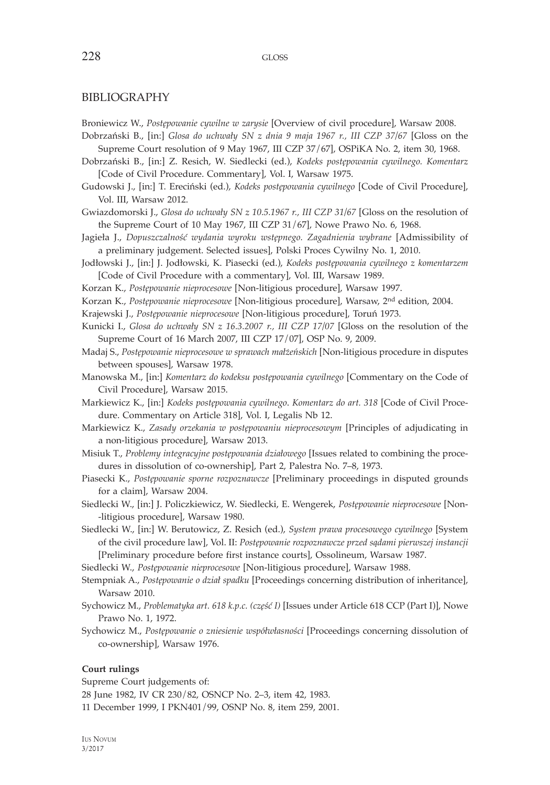#### BIBLIOGRAPHY

Broniewicz W., *Postępowanie cywilne w zarysie* [Overview of civil procedure], Warsaw 2008.

- Dobrzański B., [in:] *Glosa do uchwały SN z dnia 9 maja 1967 r., III CZP 37/67* [Gloss on the Supreme Court resolution of 9 May 1967, III CZP 37/67], OSPiKA No. 2, item 30, 1968.
- Dobrzański B., [in:] Z. Resich, W. Siedlecki (ed.), *Kodeks postępowania cywilnego. Komentarz*  [Code of Civil Procedure. Commentary], Vol. I, Warsaw 1975.
- Gudowski J., [in:] T. Ereciński (ed.), *Kodeks postępowania cywilnego* [Code of Civil Procedure], Vol. III, Warsaw 2012.
- Gwiazdomorski J., *Glosa do uchwały SN z 10.5.1967 r., III CZP 31/67* [Gloss on the resolution of the Supreme Court of 10 May 1967, III CZP 31/67], Nowe Prawo No. 6, 1968.
- Jagieła J., *Dopuszczalność wydania wyroku wstępnego. Zagadnienia wybrane* [Admissibility of a preliminary judgement. Selected issues], Polski Proces Cywilny No. 1, 2010.
- Jodłowski J., [in:] J. Jodłowski, K. Piasecki (ed.), *Kodeks postępowania cywilnego z komentarzem*  [Code of Civil Procedure with a commentary], Vol. III, Warsaw 1989.
- Korzan K., *Postępowanie nieprocesowe* [Non-litigious procedure], Warsaw 1997.
- Korzan K., *Postępowanie nieprocesowe* [Non-litigious procedure], Warsaw, 2nd edition, 2004.
- Krajewski J., *Postępowanie nieprocesowe* [Non-litigious procedure], Toruń 1973.
- Kunicki I., *Glosa do uchwały SN z 16.3.2007 r., III CZP 17/07* [Gloss on the resolution of the Supreme Court of 16 March 2007, III CZP 17/07], OSP No. 9, 2009.
- Madaj S., *Postępowanie nieprocesowe w sprawach małżeńskich* [Non-litigious procedure in disputes between spouses], Warsaw 1978.
- Manowska M., [in:] *Komentarz do kodeksu postępowania cywilnego* [Commentary on the Code of Civil Procedure], Warsaw 2015.
- Markiewicz K., [in:] *Kodeks postępowania cywilnego*. *Komentarz do art. 318* [Code of Civil Procedure. Commentary on Article 318], Vol. I, Legalis Nb 12.
- Markiewicz K., *Zasady orzekania w postępowaniu nieprocesowym* [Principles of adjudicating in a non-litigious procedure], Warsaw 2013.
- Misiuk T., *Problemy integracyjne postępowania działowego* [Issues related to combining the procedures in dissolution of co-ownership], Part 2, Palestra No. 7–8, 1973.
- Piasecki K., *Postępowanie sporne rozpoznawcze* [Preliminary proceedings in disputed grounds for a claim], Warsaw 2004.
- Siedlecki W., [in:] J. Policzkiewicz, W. Siedlecki, E. Wengerek, *Postępowanie nieprocesowe* [Non- -litigious procedure], Warsaw 1980.
- Siedlecki W., [in:] W. Berutowicz, Z. Resich (ed.), *System prawa procesowego cywilnego* [System of the civil procedure law], Vol. II: *Postępowanie rozpoznawcze przed sądami pierwszej instancji*  [Preliminary procedure before first instance courts], Ossolineum, Warsaw 1987.
- Siedlecki W., *Postępowanie nieprocesowe* [Non-litigious procedure], Warsaw 1988.
- Stempniak A., *Postępowanie o dział spadku* [Proceedings concerning distribution of inheritance], Warsaw 2010.
- Sychowicz M., *Problematyka art. 618 k.p.c. (część I)* [Issues under Article 618 CCP (Part I)], Nowe Prawo No. 1, 1972.
- Sychowicz M., *Postępowanie o zniesienie współwłasności* [Proceedings concerning dissolution of co-ownership], Warsaw 1976.

#### **Court rulings**

Supreme Court judgements of:

28 June 1982, IV CR 230/82, OSNCP No. 2–3, item 42, 1983.

11 December 1999, I PKN401/99, OSNP No. 8, item 259, 2001.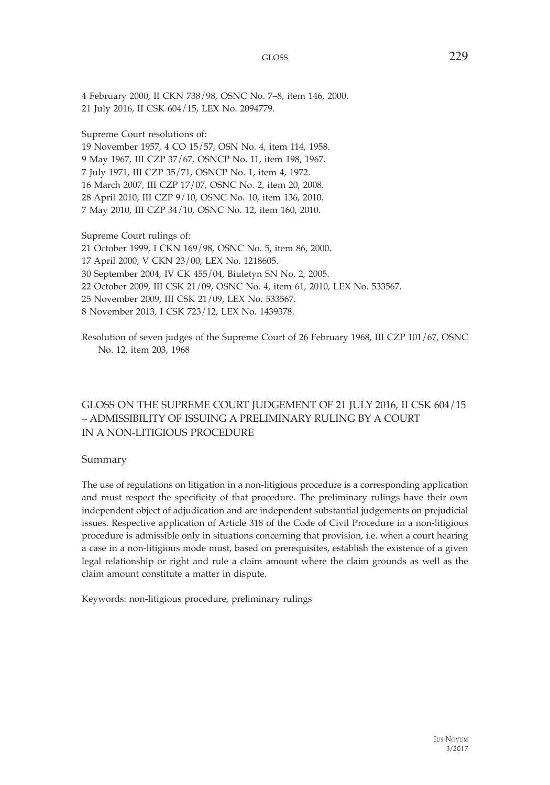4 February 2000, II CKN 738/98, OSNC No. 7–8, item 146, 2000. 21 July 2016, II CSK 604/15, LEX No. 2094779.

Supreme Court resolutions of:

19 November 1957, 4 CO 15/57, OSN No. 4, item 114, 1958. 9 May 1967, III CZP 37/67, OSNCP No. 11, item 198, 1967. 7 July 1971, III CZP 35/71, OSNCP No. 1, item 4, 1972. 16 March 2007, III CZP 17/07, OSNC No. 2, item 20, 2008. 28 April 2010, III CZP 9/10, OSNC No. 10, item 136, 2010. 7 May 2010, III CZP 34/10, OSNC No. 12, item 160, 2010.

Supreme Court rulings of:

21 October 1999, I CKN 169/98, OSNC No. 5, item 86, 2000.

- 17 April 2000, V CKN 23/00, LEX No. 1218605.
- 30 September 2004, IV CK 455/04, Biuletyn SN No. 2, 2005.
- 22 October 2009, III CSK 21/09, OSNC No. 4, item 61, 2010, LEX No. 533567.
- 25 November 2009, III CSK 21/09, LEX No. 533567.
- 8 November 2013, I CSK 723/12, LEX No. 1439378.

Resolution of seven judges of the Supreme Court of 26 February 1968, III CZP 101/67, OSNC No. 12, item 203, 1968

## GLOSS ON THE SUPREME COURT JUDGEMENT OF 21 JULY 2016, II CSK 604/15 – ADMISSIBILITY OF ISSUING A PRELIMINARY RULING BY A COURT IN A NON-LITIGIOUS PROCEDURE

Summary

The use of regulations on litigation in a non-litigious procedure is a corresponding application and must respect the specificity of that procedure. The preliminary rulings have their own independent object of adjudication and are independent substantial judgements on prejudicial issues. Respective application of Article 318 of the Code of Civil Procedure in a non-litigious procedure is admissible only in situations concerning that provision, i.e. when a court hearing a case in a non-litigious mode must, based on prerequisites, establish the existence of a given legal relationship or right and rule a claim amount where the claim grounds as well as the claim amount constitute a matter in dispute.

Keywords: non-litigious procedure, preliminary rulings